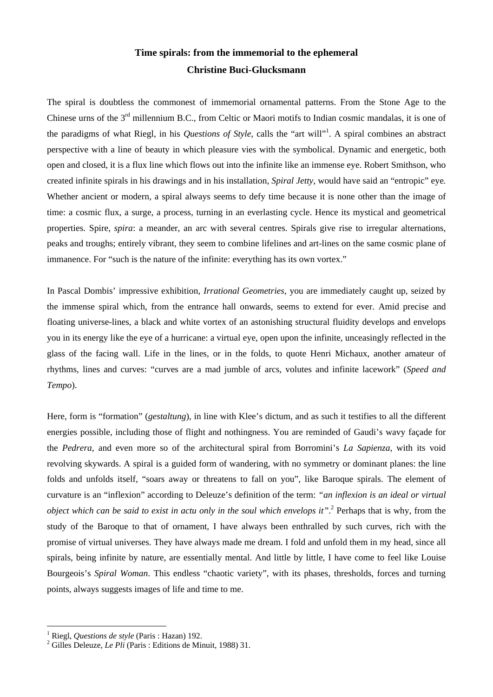## **Time spirals: from the immemorial to the ephemeral Christine Buci-Glucksmann**

The spiral is doubtless the commonest of immemorial ornamental patterns. From the Stone Age to the Chinese urns of the 3<sup>rd</sup> millennium B.C., from Celtic or Maori motifs to Indian cosmic mandalas, it is one of the paradigms of what Riegl, in his *Questions of Style*, calls the "art will"<sup>1</sup> . A spiral combines an abstract perspective with a line of beauty in which pleasure vies with the symbolical. Dynamic and energetic, both open and closed, it is a flux line which flows out into the infinite like an immense eye. Robert Smithson, who created infinite spirals in his drawings and in his installation, *Spiral Jetty*, would have said an "entropic" eye*.*  Whether ancient or modern, a spiral always seems to defy time because it is none other than the image of time: a cosmic flux, a surge, a process, turning in an everlasting cycle. Hence its mystical and geometrical properties. Spire, *spira*: a meander, an arc with several centres. Spirals give rise to irregular alternations, peaks and troughs; entirely vibrant, they seem to combine lifelines and art-lines on the same cosmic plane of immanence. For "such is the nature of the infinite: everything has its own vortex."

In Pascal Dombis' impressive exhibition, *Irrational Geometries*, you are immediately caught up, seized by the immense spiral which, from the entrance hall onwards, seems to extend for ever. Amid precise and floating universe-lines, a black and white vortex of an astonishing structural fluidity develops and envelops you in its energy like the eye of a hurricane: a virtual eye, open upon the infinite, unceasingly reflected in the glass of the facing wall. Life in the lines, or in the folds, to quote Henri Michaux, another amateur of rhythms, lines and curves: "curves are a mad jumble of arcs, volutes and infinite lacework" (*Speed and Tempo*).

Here, form is "formation" (*gestaltung*), in line with Klee's dictum, and as such it testifies to all the different energies possible, including those of flight and nothingness. You are reminded of Gaudi's wavy façade for the *Pedrera*, and even more so of the architectural spiral from Borromini's *La Sapienza*, with its void revolving skywards. A spiral is a guided form of wandering, with no symmetry or dominant planes: the line folds and unfolds itself, "soars away or threatens to fall on you", like Baroque spirals. The element of curvature is an "inflexion" according to Deleuze's definition of the term: *"an inflexion is an ideal or virtual object which can be said to exist in actu only in the soul which envelops it"*. 2 Perhaps that is why, from the study of the Baroque to that of ornament, I have always been enthralled by such curves, rich with the promise of virtual universes. They have always made me dream. I fold and unfold them in my head, since all spirals, being infinite by nature, are essentially mental. And little by little, I have come to feel like Louise Bourgeois's *Spiral Woman*. This endless "chaotic variety", with its phases, thresholds, forces and turning points, always suggests images of life and time to me.

 $\overline{a}$ 

<sup>1</sup> Riegl, *Questions de style* (Paris : Hazan) 192.

<sup>&</sup>lt;sup>2</sup> Gilles Deleuze, *Le Pli* (Paris : Editions de Minuit, 1988) 31.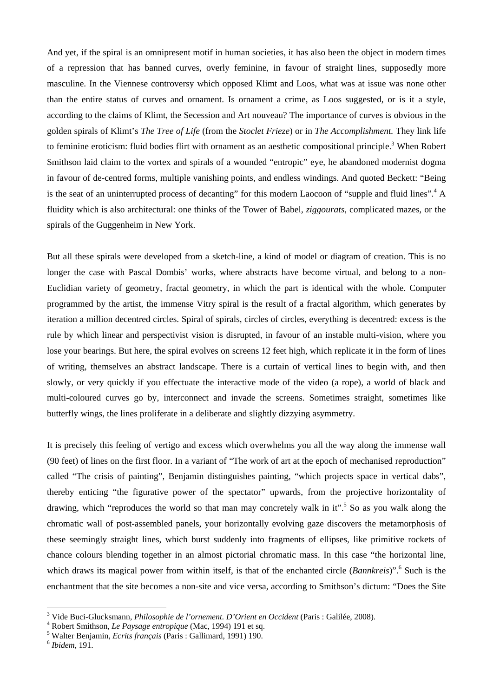And yet, if the spiral is an omnipresent motif in human societies, it has also been the object in modern times of a repression that has banned curves, overly feminine, in favour of straight lines, supposedly more masculine. In the Viennese controversy which opposed Klimt and Loos, what was at issue was none other than the entire status of curves and ornament. Is ornament a crime, as Loos suggested, or is it a style, according to the claims of Klimt, the Secession and Art nouveau? The importance of curves is obvious in the golden spirals of Klimt's *The Tree of Life* (from the *Stoclet Frieze*) or in *The Accomplishment.* They link life to feminine eroticism: fluid bodies flirt with ornament as an aesthetic compositional principle.<sup>3</sup> When Robert Smithson laid claim to the vortex and spirals of a wounded "entropic" eye, he abandoned modernist dogma in favour of de-centred forms, multiple vanishing points, and endless windings. And quoted Beckett: "Being is the seat of an uninterrupted process of decanting" for this modern Laocoon of "supple and fluid lines".<sup>4</sup> A fluidity which is also architectural: one thinks of the Tower of Babel, *ziggourats*, complicated mazes, or the spirals of the Guggenheim in New York.

But all these spirals were developed from a sketch-line, a kind of model or diagram of creation. This is no longer the case with Pascal Dombis' works, where abstracts have become virtual, and belong to a non-Euclidian variety of geometry, fractal geometry, in which the part is identical with the whole. Computer programmed by the artist, the immense Vitry spiral is the result of a fractal algorithm, which generates by iteration a million decentred circles. Spiral of spirals, circles of circles, everything is decentred: excess is the rule by which linear and perspectivist vision is disrupted, in favour of an instable multi-vision, where you lose your bearings. But here, the spiral evolves on screens 12 feet high, which replicate it in the form of lines of writing, themselves an abstract landscape. There is a curtain of vertical lines to begin with, and then slowly, or very quickly if you effectuate the interactive mode of the video (a rope), a world of black and multi-coloured curves go by, interconnect and invade the screens. Sometimes straight, sometimes like butterfly wings, the lines proliferate in a deliberate and slightly dizzying asymmetry.

It is precisely this feeling of vertigo and excess which overwhelms you all the way along the immense wall (90 feet) of lines on the first floor. In a variant of "The work of art at the epoch of mechanised reproduction" called "The crisis of painting", Benjamin distinguishes painting, "which projects space in vertical dabs", thereby enticing "the figurative power of the spectator" upwards, from the projective horizontality of drawing, which "reproduces the world so that man may concretely walk in it".<sup>5</sup> So as you walk along the chromatic wall of post-assembled panels, your horizontally evolving gaze discovers the metamorphosis of these seemingly straight lines, which burst suddenly into fragments of ellipses, like primitive rockets of chance colours blending together in an almost pictorial chromatic mass. In this case "the horizontal line, which draws its magical power from within itself, is that of the enchanted circle (*Bannkreis*)".<sup>6</sup> Such is the enchantment that the site becomes a non-site and vice versa, according to Smithson's dictum: "Does the Site

 $\overline{a}$ 

<sup>&</sup>lt;sup>3</sup> Vide Buci-Glucksmann, *Philosophie de l'ornement. D'Orient en Occident* (Paris : Galilée, 2008).<br><sup>4</sup> Pobert Smitheon, *Le Prangage antropique* (Mac, 1004) 101 et sa

Robert Smithson, *Le Paysage entropique* (Mac, 1994) 191 et sq. 5

Walter Benjamin, *Ecrits français* (Paris : Gallimard, 1991) 190. 6 *Ibidem*, 191.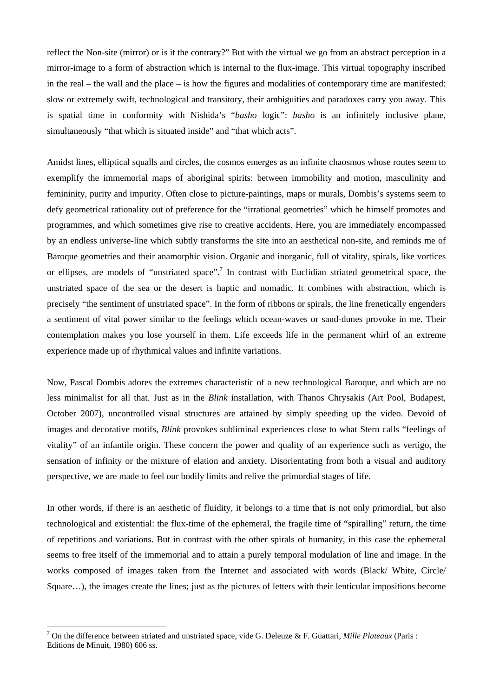reflect the Non-site (mirror) or is it the contrary?" But with the virtual we go from an abstract perception in a mirror-image to a form of abstraction which is internal to the flux-image. This virtual topography inscribed in the real – the wall and the place – is how the figures and modalities of contemporary time are manifested: slow or extremely swift, technological and transitory, their ambiguities and paradoxes carry you away. This is spatial time in conformity with Nishida's "*basho* logic": *basho* is an infinitely inclusive plane, simultaneously "that which is situated inside" and "that which acts".

Amidst lines, elliptical squalls and circles, the cosmos emerges as an infinite chaosmos whose routes seem to exemplify the immemorial maps of aboriginal spirits: between immobility and motion, masculinity and femininity, purity and impurity. Often close to picture-paintings, maps or murals, Dombis's systems seem to defy geometrical rationality out of preference for the "irrational geometries" which he himself promotes and programmes, and which sometimes give rise to creative accidents. Here, you are immediately encompassed by an endless universe-line which subtly transforms the site into an aesthetical non-site, and reminds me of Baroque geometries and their anamorphic vision. Organic and inorganic, full of vitality, spirals, like vortices or ellipses, are models of "unstriated space".<sup>7</sup> In contrast with Euclidian striated geometrical space, the unstriated space of the sea or the desert is haptic and nomadic. It combines with abstraction, which is precisely "the sentiment of unstriated space". In the form of ribbons or spirals, the line frenetically engenders a sentiment of vital power similar to the feelings which ocean-waves or sand-dunes provoke in me. Their contemplation makes you lose yourself in them. Life exceeds life in the permanent whirl of an extreme experience made up of rhythmical values and infinite variations.

Now, Pascal Dombis adores the extremes characteristic of a new technological Baroque, and which are no less minimalist for all that. Just as in the *Blink* installation, with Thanos Chrysakis (Art Pool, Budapest, October 2007), uncontrolled visual structures are attained by simply speeding up the video. Devoid of images and decorative motifs, *Blink* provokes subliminal experiences close to what Stern calls "feelings of vitality" of an infantile origin. These concern the power and quality of an experience such as vertigo, the sensation of infinity or the mixture of elation and anxiety. Disorientating from both a visual and auditory perspective, we are made to feel our bodily limits and relive the primordial stages of life.

In other words, if there is an aesthetic of fluidity, it belongs to a time that is not only primordial, but also technological and existential: the flux-time of the ephemeral, the fragile time of "spiralling" return, the time of repetitions and variations. But in contrast with the other spirals of humanity, in this case the ephemeral seems to free itself of the immemorial and to attain a purely temporal modulation of line and image. In the works composed of images taken from the Internet and associated with words (Black/ White, Circle/ Square…), the images create the lines; just as the pictures of letters with their lenticular impositions become

 $\overline{a}$ 

<sup>7</sup> On the difference between striated and unstriated space, vide G. Deleuze & F. Guattari, *Mille Plateaux* (Paris : Editions de Minuit, 1980) 606 ss.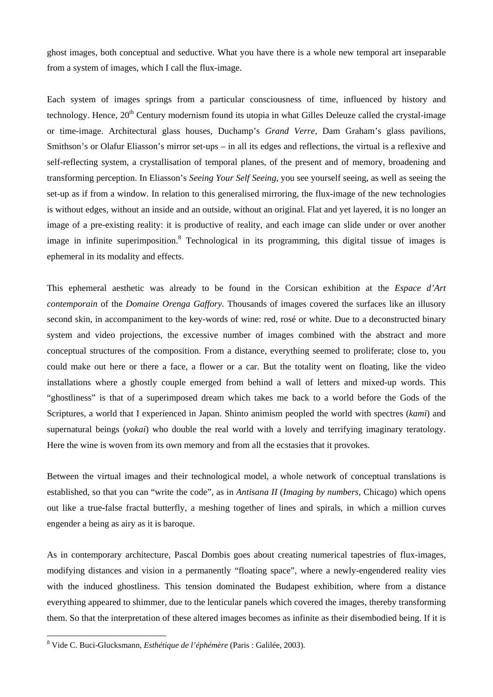ghost images, both conceptual and seductive. What you have there is a whole new temporal art inseparable from a system of images, which I call the flux-image.

Each system of images springs from a particular consciousness of time, influenced by history and technology. Hence,  $20<sup>th</sup>$  Century modernism found its utopia in what Gilles Deleuze called the crystal-image or time-image. Architectural glass houses, Duchamp's *Grand Verre*, Dam Graham's glass pavilions, Smithson's or Olafur Eliasson's mirror set-ups – in all its edges and reflections, the virtual is a reflexive and self-reflecting system, a crystallisation of temporal planes, of the present and of memory, broadening and transforming perception. In Eliasson's *Seeing Your Self Seeing*, you see yourself seeing, as well as seeing the set-up as if from a window. In relation to this generalised mirroring, the flux-image of the new technologies is without edges, without an inside and an outside, without an original. Flat and yet layered, it is no longer an image of a pre-existing reality: it is productive of reality, and each image can slide under or over another image in infinite superimposition.<sup>8</sup> Technological in its programming, this digital tissue of images is ephemeral in its modality and effects.

This ephemeral aesthetic was already to be found in the Corsican exhibition at the *Espace d'Art contemporain* of the *Domaine Orenga Gaffory*. Thousands of images covered the surfaces like an illusory second skin, in accompaniment to the key-words of wine: red, rosé or white. Due to a deconstructed binary system and video projections, the excessive number of images combined with the abstract and more conceptual structures of the composition. From a distance, everything seemed to proliferate; close to, you could make out here or there a face, a flower or a car. But the totality went on floating, like the video installations where a ghostly couple emerged from behind a wall of letters and mixed-up words. This "ghostliness" is that of a superimposed dream which takes me back to a world before the Gods of the Scriptures, a world that I experienced in Japan. Shinto animism peopled the world with spectres (*kami*) and supernatural beings (*yokai*) who double the real world with a lovely and terrifying imaginary teratology. Here the wine is woven from its own memory and from all the ecstasies that it provokes.

Between the virtual images and their technological model, a whole network of conceptual translations is established, so that you can "write the code", as in *Antisana II* (*Imaging by numbers*, Chicago) which opens out like a true-false fractal butterfly, a meshing together of lines and spirals, in which a million curves engender a being as airy as it is baroque.

As in contemporary architecture, Pascal Dombis goes about creating numerical tapestries of flux-images, modifying distances and vision in a permanently "floating space", where a newly-engendered reality vies with the induced ghostliness. This tension dominated the Budapest exhibition, where from a distance everything appeared to shimmer, due to the lenticular panels which covered the images, thereby transforming them. So that the interpretation of these altered images becomes as infinite as their disembodied being. If it is

 8 Vide C. Buci-Glucksmann, *Esthétique de l'éphémère* (Paris : Galilée, 2003).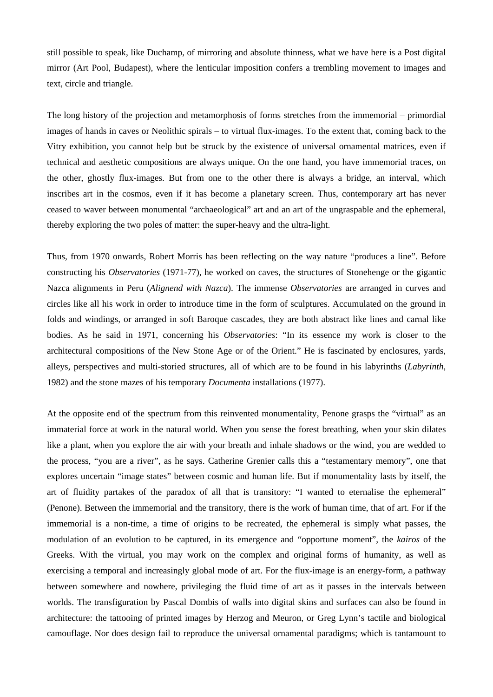still possible to speak, like Duchamp, of mirroring and absolute thinness, what we have here is a Post digital mirror (Art Pool, Budapest), where the lenticular imposition confers a trembling movement to images and text, circle and triangle.

The long history of the projection and metamorphosis of forms stretches from the immemorial – primordial images of hands in caves or Neolithic spirals – to virtual flux-images. To the extent that, coming back to the Vitry exhibition, you cannot help but be struck by the existence of universal ornamental matrices, even if technical and aesthetic compositions are always unique. On the one hand, you have immemorial traces, on the other, ghostly flux-images. But from one to the other there is always a bridge, an interval, which inscribes art in the cosmos, even if it has become a planetary screen. Thus, contemporary art has never ceased to waver between monumental "archaeological" art and an art of the ungraspable and the ephemeral, thereby exploring the two poles of matter: the super-heavy and the ultra-light.

Thus, from 1970 onwards, Robert Morris has been reflecting on the way nature "produces a line". Before constructing his *Observatories* (1971-77), he worked on caves, the structures of Stonehenge or the gigantic Nazca alignments in Peru (*Alignend with Nazca*). The immense *Observatories* are arranged in curves and circles like all his work in order to introduce time in the form of sculptures. Accumulated on the ground in folds and windings, or arranged in soft Baroque cascades, they are both abstract like lines and carnal like bodies. As he said in 1971, concerning his *Observatories*: "In its essence my work is closer to the architectural compositions of the New Stone Age or of the Orient." He is fascinated by enclosures, yards, alleys, perspectives and multi-storied structures, all of which are to be found in his labyrinths (*Labyrinth*, 1982) and the stone mazes of his temporary *Documenta* installations (1977).

At the opposite end of the spectrum from this reinvented monumentality, Penone grasps the "virtual" as an immaterial force at work in the natural world. When you sense the forest breathing, when your skin dilates like a plant, when you explore the air with your breath and inhale shadows or the wind, you are wedded to the process, "you are a river", as he says. Catherine Grenier calls this a "testamentary memory", one that explores uncertain "image states" between cosmic and human life. But if monumentality lasts by itself, the art of fluidity partakes of the paradox of all that is transitory: "I wanted to eternalise the ephemeral" (Penone). Between the immemorial and the transitory, there is the work of human time, that of art. For if the immemorial is a non-time, a time of origins to be recreated, the ephemeral is simply what passes, the modulation of an evolution to be captured, in its emergence and "opportune moment", the *kairos* of the Greeks. With the virtual, you may work on the complex and original forms of humanity, as well as exercising a temporal and increasingly global mode of art. For the flux-image is an energy-form, a pathway between somewhere and nowhere, privileging the fluid time of art as it passes in the intervals between worlds. The transfiguration by Pascal Dombis of walls into digital skins and surfaces can also be found in architecture: the tattooing of printed images by Herzog and Meuron, or Greg Lynn's tactile and biological camouflage. Nor does design fail to reproduce the universal ornamental paradigms; which is tantamount to